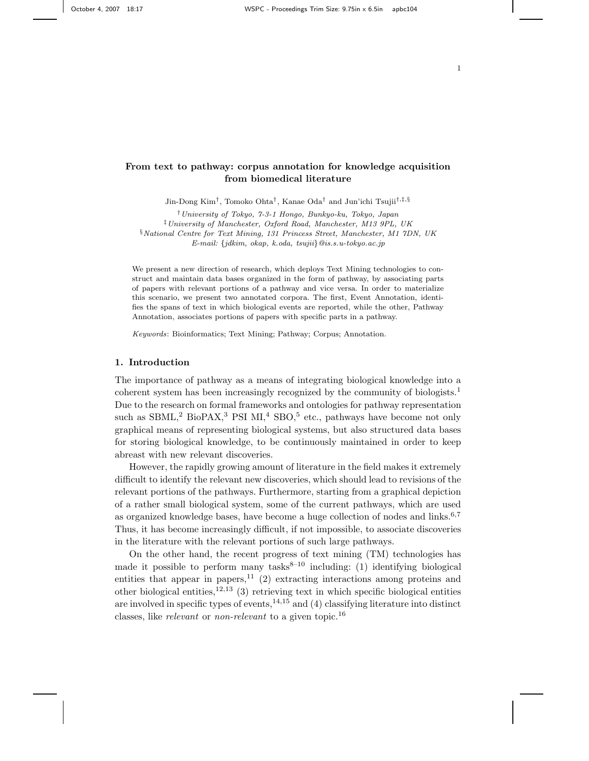# From text to pathway: corpus annotation for knowledge acquisition from biomedical literature

Jin-Dong Kim<sup>†</sup>, Tomoko Ohta<sup>†</sup>, Kanae Oda<sup>†</sup> and Jun'ichi Tsujii<sup>†,‡,§</sup>

†University of Tokyo, 7-3-1 Hongo, Bunkyo-ku, Tokyo, Japan ‡University of Manchester, Oxford Road, Manchester, M13 9PL, UK §National Centre for Text Mining, 131 Princess Street, Manchester, M1 7DN, UK E-mail: {jdkim, okap, k.oda, tsujii}@is.s.u-tokyo.ac.jp

We present a new direction of research, which deploys Text Mining technologies to construct and maintain data bases organized in the form of pathway, by associating parts of papers with relevant portions of a pathway and vice versa. In order to materialize this scenario, we present two annotated corpora. The first, Event Annotation, identifies the spans of text in which biological events are reported, while the other, Pathway Annotation, associates portions of papers with specific parts in a pathway.

Keywords: Bioinformatics; Text Mining; Pathway; Corpus; Annotation.

# 1. Introduction

The importance of pathway as a means of integrating biological knowledge into a coherent system has been increasingly recognized by the community of biologists.<sup>1</sup> Due to the research on formal frameworks and ontologies for pathway representation such as  $SBML<sup>2</sup> BioPAX<sup>3</sup> PSI MI<sup>4</sup> SBO<sup>5</sup> etc., pathways have become not only$ graphical means of representing biological systems, but also structured data bases for storing biological knowledge, to be continuously maintained in order to keep abreast with new relevant discoveries.

However, the rapidly growing amount of literature in the field makes it extremely difficult to identify the relevant new discoveries, which should lead to revisions of the relevant portions of the pathways. Furthermore, starting from a graphical depiction of a rather small biological system, some of the current pathways, which are used as organized knowledge bases, have become a huge collection of nodes and links.<sup>6,7</sup> Thus, it has become increasingly difficult, if not impossible, to associate discoveries in the literature with the relevant portions of such large pathways.

On the other hand, the recent progress of text mining (TM) technologies has made it possible to perform many tasks<sup>8-10</sup> including: (1) identifying biological entities that appear in papers,  $11$  (2) extracting interactions among proteins and other biological entities,<sup>12,13</sup> (3) retrieving text in which specific biological entities are involved in specific types of events,  $14,15$  and (4) classifying literature into distinct classes, like *relevant* or *non-relevant* to a given topic.<sup>16</sup>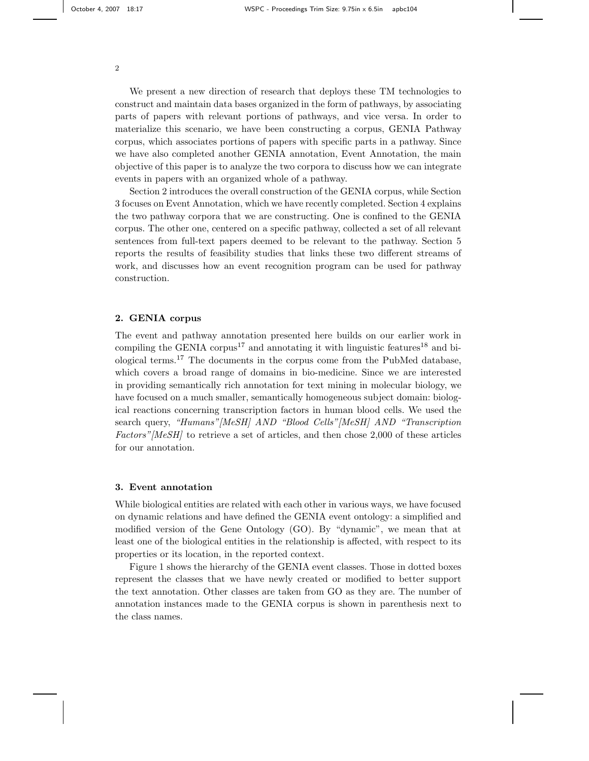We present a new direction of research that deploys these TM technologies to construct and maintain data bases organized in the form of pathways, by associating parts of papers with relevant portions of pathways, and vice versa. In order to materialize this scenario, we have been constructing a corpus, GENIA Pathway corpus, which associates portions of papers with specific parts in a pathway. Since we have also completed another GENIA annotation, Event Annotation, the main objective of this paper is to analyze the two corpora to discuss how we can integrate events in papers with an organized whole of a pathway.

Section 2 introduces the overall construction of the GENIA corpus, while Section 3 focuses on Event Annotation, which we have recently completed. Section 4 explains the two pathway corpora that we are constructing. One is confined to the GENIA corpus. The other one, centered on a specific pathway, collected a set of all relevant sentences from full-text papers deemed to be relevant to the pathway. Section 5 reports the results of feasibility studies that links these two different streams of work, and discusses how an event recognition program can be used for pathway construction.

#### 2. GENIA corpus

The event and pathway annotation presented here builds on our earlier work in compiling the GENIA corpus<sup>17</sup> and annotating it with linguistic features<sup>18</sup> and biological terms.<sup>17</sup> The documents in the corpus come from the PubMed database, which covers a broad range of domains in bio-medicine. Since we are interested in providing semantically rich annotation for text mining in molecular biology, we have focused on a much smaller, semantically homogeneous subject domain: biological reactions concerning transcription factors in human blood cells. We used the search query, "Humans"[MeSH] AND "Blood Cells"[MeSH] AND "Transcription Factors"[MeSH] to retrieve a set of articles, and then chose 2,000 of these articles for our annotation.

# 3. Event annotation

While biological entities are related with each other in various ways, we have focused on dynamic relations and have defined the GENIA event ontology: a simplified and modified version of the Gene Ontology (GO). By "dynamic", we mean that at least one of the biological entities in the relationship is affected, with respect to its properties or its location, in the reported context.

Figure 1 shows the hierarchy of the GENIA event classes. Those in dotted boxes represent the classes that we have newly created or modified to better support the text annotation. Other classes are taken from GO as they are. The number of annotation instances made to the GENIA corpus is shown in parenthesis next to the class names.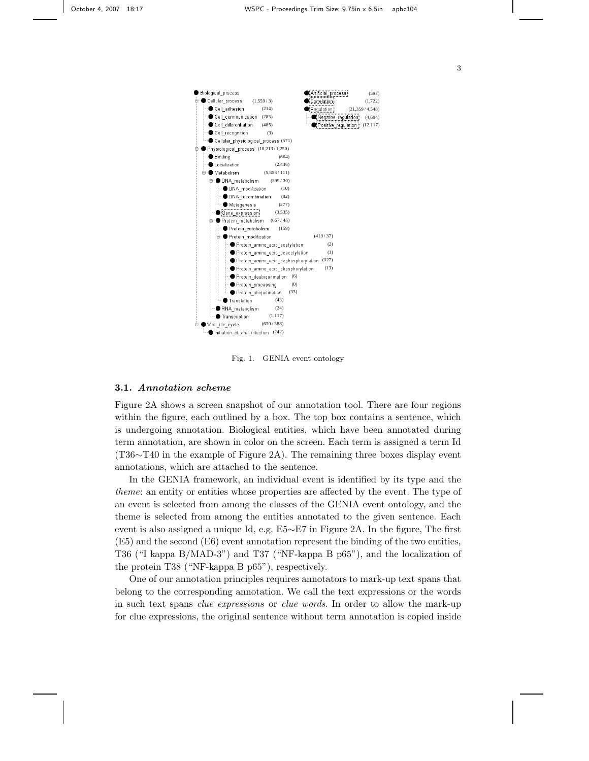

Fig. 1. GENIA event ontology

#### 3.1. Annotation scheme

Figure 2A shows a screen snapshot of our annotation tool. There are four regions within the figure, each outlined by a box. The top box contains a sentence, which is undergoing annotation. Biological entities, which have been annotated during term annotation, are shown in color on the screen. Each term is assigned a term Id (T36∼T40 in the example of Figure 2A). The remaining three boxes display event annotations, which are attached to the sentence.

In the GENIA framework, an individual event is identified by its type and the theme: an entity or entities whose properties are affected by the event. The type of an event is selected from among the classes of the GENIA event ontology, and the theme is selected from among the entities annotated to the given sentence. Each event is also assigned a unique Id, e.g. E5∼E7 in Figure 2A. In the figure, The first (E5) and the second (E6) event annotation represent the binding of the two entities, T36 ("I kappa B/MAD-3") and T37 ("NF-kappa B p65"), and the localization of the protein T38 ("NF-kappa B p65"), respectively.

One of our annotation principles requires annotators to mark-up text spans that belong to the corresponding annotation. We call the text expressions or the words in such text spans clue expressions or clue words. In order to allow the mark-up for clue expressions, the original sentence without term annotation is copied inside

3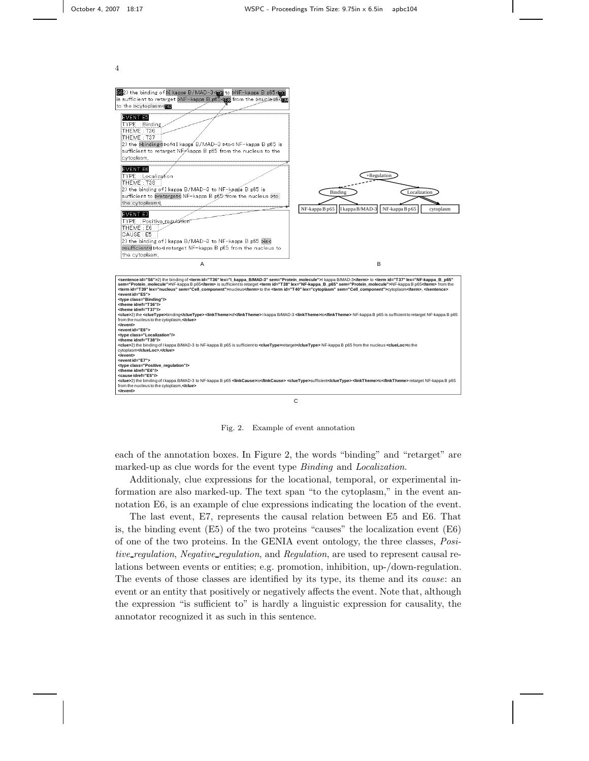

Fig. 2. Example of event annotation

each of the annotation boxes. In Figure 2, the words "binding" and "retarget" are marked-up as clue words for the event type Binding and Localization.

Additionaly, clue expressions for the locational, temporal, or experimental information are also marked-up. The text span "to the cytoplasm," in the event annotation E6, is an example of clue expressions indicating the location of the event.

The last event, E7, represents the causal relation between E5 and E6. That is, the binding event (E5) of the two proteins "causes" the localization event (E6) of one of the two proteins. In the GENIA event ontology, the three classes, Positive\_regulation, Negative\_regulation, and Regulation, are used to represent causal relations between events or entities; e.g. promotion, inhibition, up-/down-regulation. The events of those classes are identified by its type, its theme and its cause: an event or an entity that positively or negatively affects the event. Note that, although the expression "is sufficient to" is hardly a linguistic expression for causality, the annotator recognized it as such in this sentence.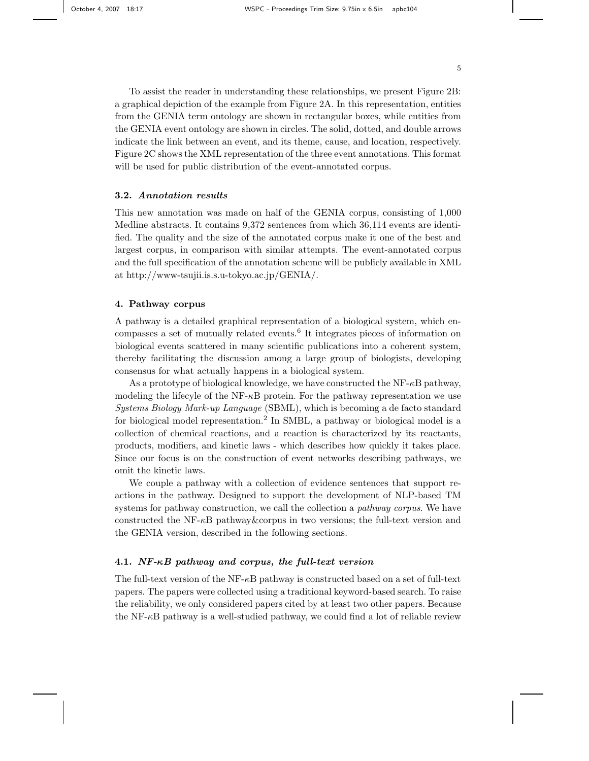To assist the reader in understanding these relationships, we present Figure 2B: a graphical depiction of the example from Figure 2A. In this representation, entities from the GENIA term ontology are shown in rectangular boxes, while entities from the GENIA event ontology are shown in circles. The solid, dotted, and double arrows indicate the link between an event, and its theme, cause, and location, respectively. Figure 2C shows the XML representation of the three event annotations. This format will be used for public distribution of the event-annotated corpus.

# 3.2. Annotation results

This new annotation was made on half of the GENIA corpus, consisting of 1,000 Medline abstracts. It contains 9,372 sentences from which 36,114 events are identified. The quality and the size of the annotated corpus make it one of the best and largest corpus, in comparison with similar attempts. The event-annotated corpus and the full specification of the annotation scheme will be publicly available in XML at http://www-tsujii.is.s.u-tokyo.ac.jp/GENIA/.

#### 4. Pathway corpus

A pathway is a detailed graphical representation of a biological system, which encompasses a set of mutually related events.<sup>6</sup> It integrates pieces of information on biological events scattered in many scientific publications into a coherent system, thereby facilitating the discussion among a large group of biologists, developing consensus for what actually happens in a biological system.

As a prototype of biological knowledge, we have constructed the  $NF-\kappa B$  pathway, modeling the lifecyle of the  $NF- $\kappa$ B$  protein. For the pathway representation we use Systems Biology Mark-up Language (SBML), which is becoming a de facto standard for biological model representation.<sup>2</sup> In SMBL, a pathway or biological model is a collection of chemical reactions, and a reaction is characterized by its reactants, products, modifiers, and kinetic laws - which describes how quickly it takes place. Since our focus is on the construction of event networks describing pathways, we omit the kinetic laws.

We couple a pathway with a collection of evidence sentences that support reactions in the pathway. Designed to support the development of NLP-based TM systems for pathway construction, we call the collection a *pathway corpus*. We have constructed the NF- $\kappa$ B pathway&corpus in two versions; the full-text version and the GENIA version, described in the following sections.

## 4.1. NF-κB pathway and corpus, the full-text version

The full-text version of the NF- $\kappa$ B pathway is constructed based on a set of full-text papers. The papers were collected using a traditional keyword-based search. To raise the reliability, we only considered papers cited by at least two other papers. Because the  $NF-\kappa B$  pathway is a well-studied pathway, we could find a lot of reliable review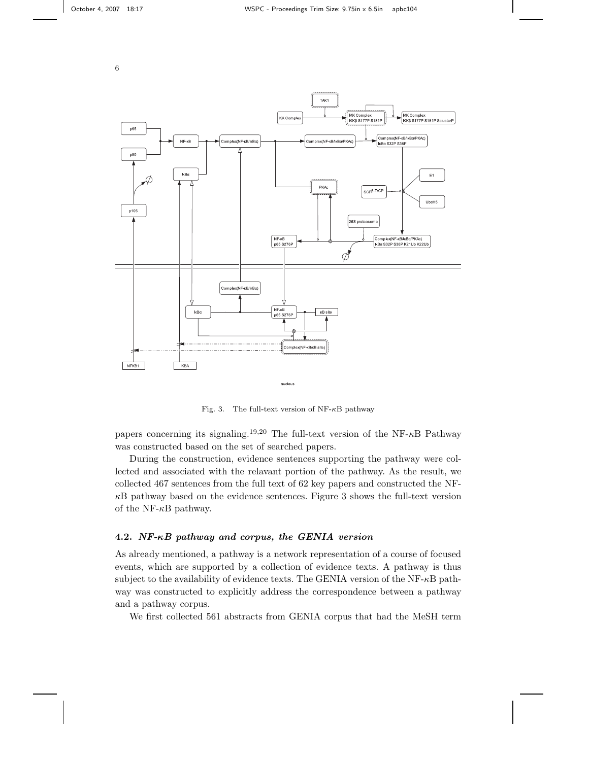

Fig. 3. The full-text version of  $NF- $\kappa$ B$  pathway

papers concerning its signaling.<sup>19,20</sup> The full-text version of the NF- $\kappa$ B Pathway was constructed based on the set of searched papers.

During the construction, evidence sentences supporting the pathway were collected and associated with the relavant portion of the pathway. As the result, we collected 467 sentences from the full text of 62 key papers and constructed the NF- $\kappa$ B pathway based on the evidence sentences. Figure 3 shows the full-text version of the NF- $\kappa$ B pathway.

# 4.2. NF-κB pathway and corpus, the GENIA version

As already mentioned, a pathway is a network representation of a course of focused events, which are supported by a collection of evidence texts. A pathway is thus subject to the availability of evidence texts. The GENIA version of the  $NF- $\kappa$ B$  pathway was constructed to explicitly address the correspondence between a pathway and a pathway corpus.

We first collected 561 abstracts from GENIA corpus that had the MeSH term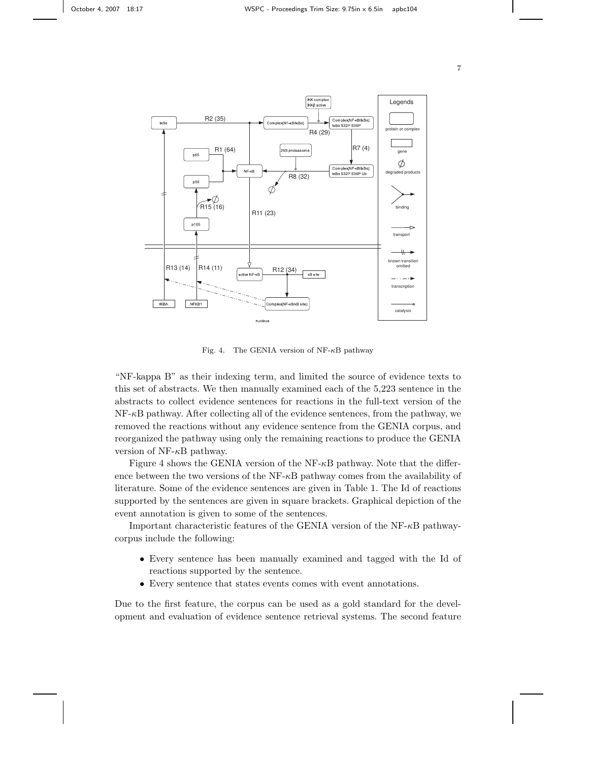



Fig. 4. The GENIA version of  $NF- $\kappa$ B$  pathway

"NF-kappa B" as their indexing term, and limited the source of evidence texts to this set of abstracts. We then manually examined each of the 5,223 sentence in the abstracts to collect evidence sentences for reactions in the full-text version of the NF-κB pathway. After collecting all of the evidence sentences, from the pathway, we removed the reactions without any evidence sentence from the GENIA corpus, and reorganized the pathway using only the remaining reactions to produce the GENIA version of NF- $\kappa$ B pathway.

Figure 4 shows the GENIA version of the NF- $\kappa$ B pathway. Note that the difference between the two versions of the  $NF- $\kappa$ B$  pathway comes from the availability of literature. Some of the evidence sentences are given in Table 1. The Id of reactions supported by the sentences are given in square brackets. Graphical depiction of the event annotation is given to some of the sentences.

Important characteristic features of the GENIA version of the NF- $\kappa$ B pathwaycorpus include the following:

- Every sentence has been manually examined and tagged with the Id of reactions supported by the sentence.
- Every sentence that states events comes with event annotations.

Due to the first feature, the corpus can be used as a gold standard for the development and evaluation of evidence sentence retrieval systems. The second feature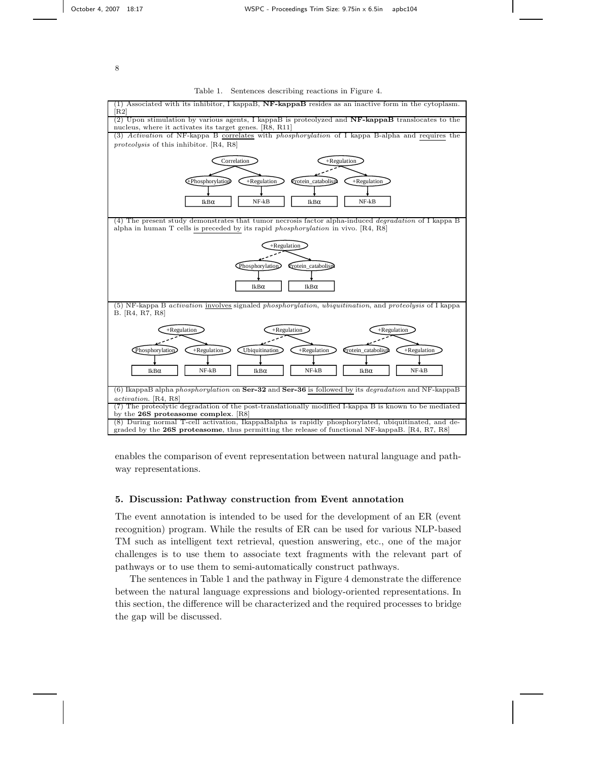#### Table 1. Sentences describing reactions in Figure 4.



enables the comparison of event representation between natural language and pathway representations.

### 5. Discussion: Pathway construction from Event annotation

The event annotation is intended to be used for the development of an ER (event recognition) program. While the results of ER can be used for various NLP-based TM such as intelligent text retrieval, question answering, etc., one of the major challenges is to use them to associate text fragments with the relevant part of pathways or to use them to semi-automatically construct pathways.

The sentences in Table 1 and the pathway in Figure 4 demonstrate the difference between the natural language expressions and biology-oriented representations. In this section, the difference will be characterized and the required processes to bridge the gap will be discussed.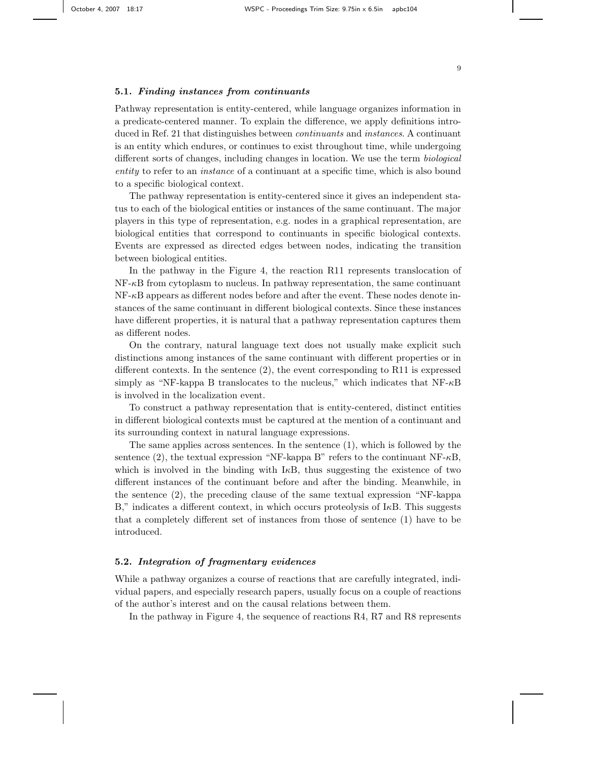Pathway representation is entity-centered, while language organizes information in a predicate-centered manner. To explain the difference, we apply definitions introduced in Ref. 21 that distinguishes between continuants and instances. A continuant is an entity which endures, or continues to exist throughout time, while undergoing different sorts of changes, including changes in location. We use the term biological entity to refer to an *instance* of a continuant at a specific time, which is also bound to a specific biological context.

The pathway representation is entity-centered since it gives an independent status to each of the biological entities or instances of the same continuant. The major players in this type of representation, e.g. nodes in a graphical representation, are biological entities that correspond to continuants in specific biological contexts. Events are expressed as directed edges between nodes, indicating the transition between biological entities.

In the pathway in the Figure 4, the reaction R11 represents translocation of  $NF-\kappa B$  from cytoplasm to nucleus. In pathway representation, the same continuant  $NF-\kappa B$  appears as different nodes before and after the event. These nodes denote instances of the same continuant in different biological contexts. Since these instances have different properties, it is natural that a pathway representation captures them as different nodes.

On the contrary, natural language text does not usually make explicit such distinctions among instances of the same continuant with different properties or in different contexts. In the sentence (2), the event corresponding to R11 is expressed simply as "NF-kappa B translocates to the nucleus," which indicates that  $NF- \kappa B$ is involved in the localization event.

To construct a pathway representation that is entity-centered, distinct entities in different biological contexts must be captured at the mention of a continuant and its surrounding context in natural language expressions.

The same applies across sentences. In the sentence (1), which is followed by the sentence (2), the textual expression "NF-kappa B" refers to the continuant  $NF-κB$ , which is involved in the binding with  $I\kappa B$ , thus suggesting the existence of two different instances of the continuant before and after the binding. Meanwhile, in the sentence (2), the preceding clause of the same textual expression "NF-kappa  $B$ ," indicates a different context, in which occurs proteolysis of  $I<sub>\kappa</sub>B$ . This suggests that a completely different set of instances from those of sentence (1) have to be introduced.

# 5.2. Integration of fragmentary evidences

While a pathway organizes a course of reactions that are carefully integrated, individual papers, and especially research papers, usually focus on a couple of reactions of the author's interest and on the causal relations between them.

In the pathway in Figure 4, the sequence of reactions R4, R7 and R8 represents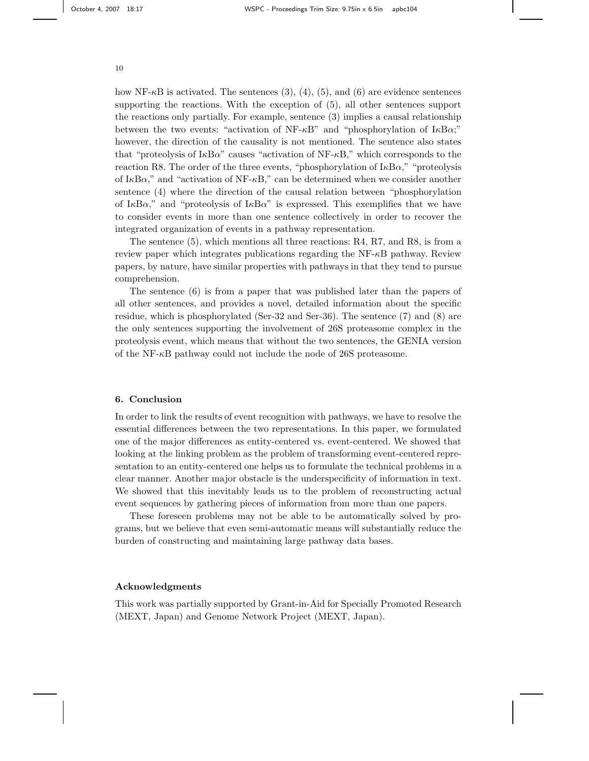how NF- $\kappa$ B is activated. The sentences (3), (4), (5), and (6) are evidence sentences supporting the reactions. With the exception of (5), all other sentences support the reactions only partially. For example, sentence (3) implies a causal relationship between the two events: "activation of  $NF- \kappa B$ " and "phosphorylation of  $I \kappa B \alpha$ ;" however, the direction of the causality is not mentioned. The sentence also states that "proteolysis of I $\kappa$ B $\alpha$ " causes "activation of NF- $\kappa$ B," which corresponds to the reaction R8. The order of the three events, "phosphorylation of  $I\kappa Ba$ ," "proteolysis of I $\kappa$ B $\alpha$ ," and "activation of NF- $\kappa$ B," can be determined when we consider another sentence (4) where the direction of the causal relation between "phosphorylation of I $\kappa$ B $\alpha$ ," and "proteolysis of I $\kappa$ B $\alpha$ " is expressed. This exemplifies that we have to consider events in more than one sentence collectively in order to recover the integrated organization of events in a pathway representation.

The sentence (5), which mentions all three reactions: R4, R7, and R8, is from a review paper which integrates publications regarding the NF-κB pathway. Review papers, by nature, have similar properties with pathways in that they tend to pursue comprehension.

The sentence (6) is from a paper that was published later than the papers of all other sentences, and provides a novel, detailed information about the specific residue, which is phosphorylated (Ser-32 and Ser-36). The sentence (7) and (8) are the only sentences supporting the involvement of 26S proteasome complex in the proteolysis event, which means that without the two sentences, the GENIA version of the NF-κB pathway could not include the node of 26S proteasome.

# 6. Conclusion

In order to link the results of event recognition with pathways, we have to resolve the essential differences between the two representations. In this paper, we formulated one of the major differences as entity-centered vs. event-centered. We showed that looking at the linking problem as the problem of transforming event-centered representation to an entity-centered one helps us to formulate the technical problems in a clear manner. Another major obstacle is the underspecificity of information in text. We showed that this inevitably leads us to the problem of reconstructing actual event sequences by gathering pieces of information from more than one papers.

These foreseen problems may not be able to be automatically solved by programs, but we believe that even semi-automatic means will substantially reduce the burden of constructing and maintaining large pathway data bases.

# Acknowledgments

This work was partially supported by Grant-in-Aid for Specially Promoted Research (MEXT, Japan) and Genome Network Project (MEXT, Japan).